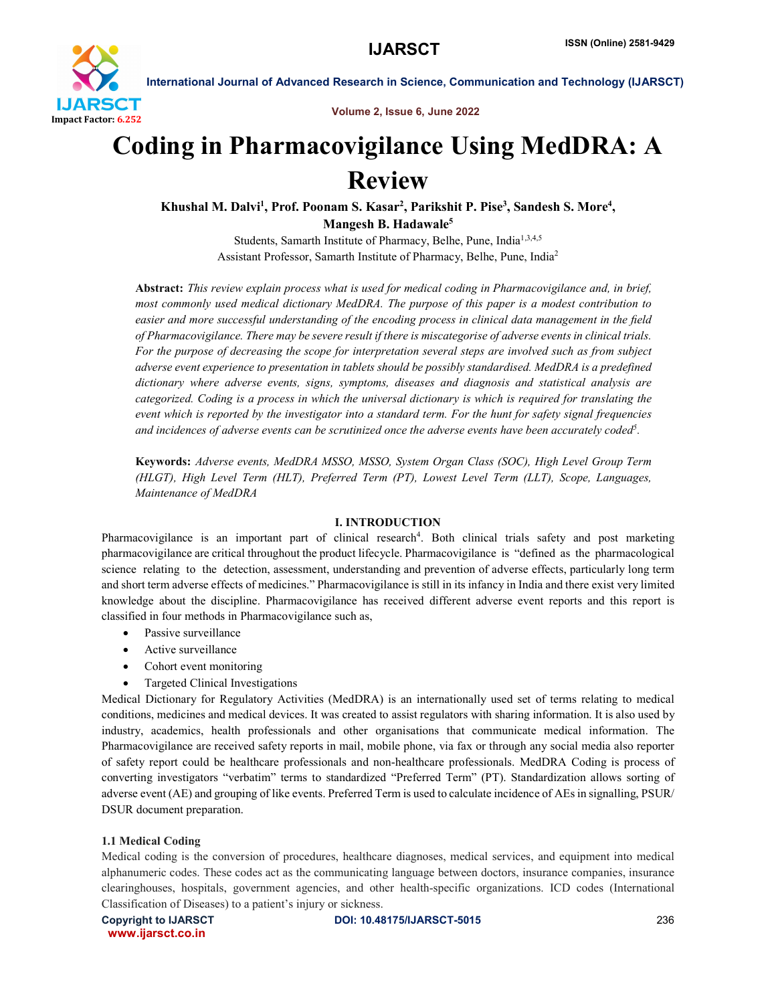

Volume 2, Issue 6, June 2022

# Coding in Pharmacovigilance Using MedDRA: A Review

Khushal M. Dalvi<sup>1</sup>, Prof. Poonam S. Kasar<sup>2</sup>, Parikshit P. Pise<sup>3</sup>, Sandesh S. More<sup>4</sup>, Mangesh B. Hadawale<sup>5</sup>

> Students, Samarth Institute of Pharmacy, Belhe, Pune, India<sup>1,3,4,5</sup> Assistant Professor, Samarth Institute of Pharmacy, Belhe, Pune, India2

Abstract: *This review explain process what is used for medical coding in Pharmacovigilance and, in brief, most commonly used medical dictionary MedDRA. The purpose of this paper is a modest contribution to easier and more successful understanding of the encoding process in clinical data management in the field of Pharmacovigilance. There may be severe result if there is miscategorise of adverse events in clinical trials. For the purpose of decreasing the scope for interpretation several steps are involved such as from subject adverse event experience to presentation in tablets should be possibly standardised. MedDRA is a predefined dictionary where adverse events, signs, symptoms, diseases and diagnosis and statistical analysis are categorized. Coding is a process in which the universal dictionary is which is required for translating the event which is reported by the investigator into a standard term. For the hunt for safety signal frequencies and incidences of adverse events can be scrutinized once the adverse events have been accurately coded5.*

Keywords: *Adverse events, MedDRA MSSO, MSSO, System Organ Class (SOC), High Level Group Term (HLGT), High Level Term (HLT), Preferred Term (PT), Lowest Level Term (LLT), Scope, Languages, Maintenance of MedDRA*

# I. INTRODUCTION

Pharmacovigilance is an important part of clinical research<sup>4</sup>. Both clinical trials safety and post marketing pharmacovigilance are critical throughout the product lifecycle. Pharmacovigilance is "defined as the pharmacological science relating to the detection, assessment, understanding and prevention of adverse effects, particularly long term and short term adverse effects of medicines." Pharmacovigilance is still in its infancy in India and there exist very limited knowledge about the discipline. Pharmacovigilance has received different adverse event reports and this report is classified in four methods in Pharmacovigilance such as,

- Passive surveillance
- Active surveillance
- Cohort event monitoring
- Targeted Clinical Investigations

Medical Dictionary for Regulatory Activities (MedDRA) is an internationally used set of terms relating to medical conditions, medicines and medical devices. It was created to assist regulators with sharing information. It is also used by industry, academics, health professionals and other organisations that communicate medical information. The Pharmacovigilance are received safety reports in mail, mobile phone, via fax or through any social media also reporter of safety report could be healthcare professionals and non-healthcare professionals. MedDRA Coding is process of converting investigators "verbatim" terms to standardized "Preferred Term" (PT). Standardization allows sorting of adverse event (AE) and grouping of like events. Preferred Term is used to calculate incidence of AEs in signalling, PSUR/ DSUR document preparation.

# 1.1 Medical Coding

Medical coding is the conversion of procedures, healthcare diagnoses, medical services, and equipment into medical alphanumeric codes. These codes act as the communicating language between doctors, insurance companies, insurance clearinghouses, hospitals, government agencies, and other health-specific organizations. ICD codes (International Classification of Diseases) to a patient's injury or sickness.

www.ijarsct.co.in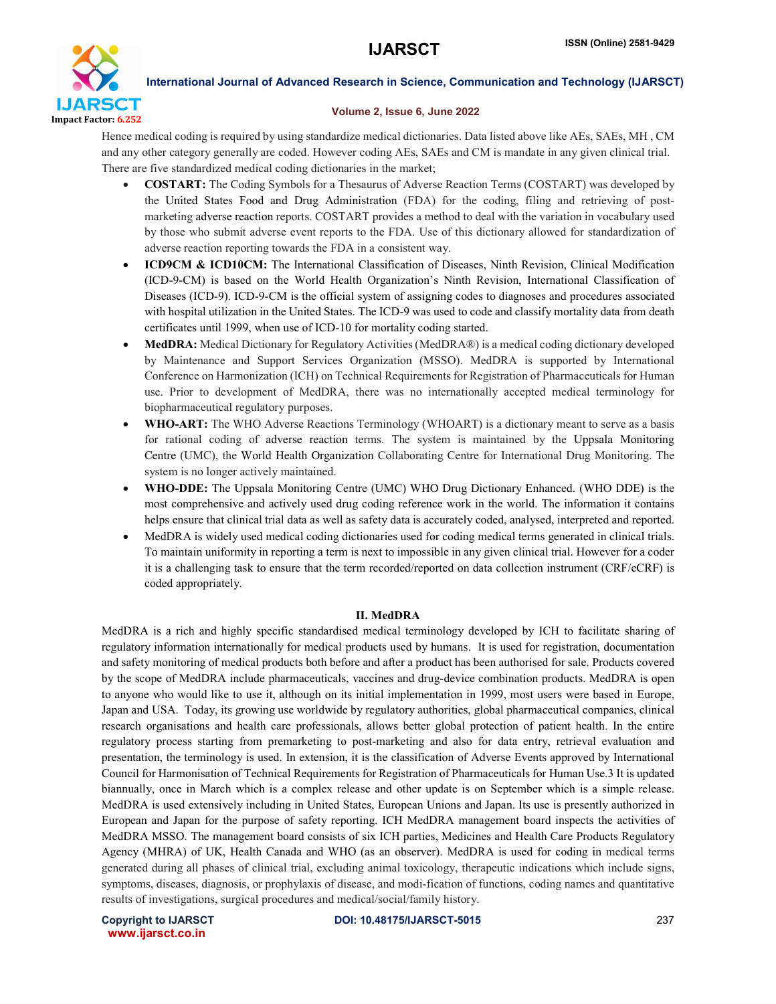

### Volume 2, Issue 6, June 2022

Hence medical coding is required by using standardize medical dictionaries. Data listed above like AEs, SAEs, MH , CM and any other category generally are coded. However coding AEs, SAEs and CM is mandate in any given clinical trial. There are five standardized medical coding dictionaries in the market;

- COSTART: The Coding Symbols for a Thesaurus of Adverse Reaction Terms (COSTART) was developed by the United States Food and Drug Administration (FDA) for the coding, filing and retrieving of postmarketing adverse reaction reports. COSTART provides a method to deal with the variation in vocabulary used by those who submit adverse event reports to the FDA. Use of this dictionary allowed for standardization of adverse reaction reporting towards the FDA in a consistent way.
- ICD9CM & ICD10CM: The International Classification of Diseases, Ninth Revision, Clinical Modification (ICD-9-CM) is based on the World Health Organization's Ninth Revision, International Classification of Diseases (ICD-9). ICD-9-CM is the official system of assigning codes to diagnoses and procedures associated with hospital utilization in the United States. The ICD-9 was used to code and classify mortality data from death certificates until 1999, when use of ICD-10 for mortality coding started.
- MedDRA: Medical Dictionary for Regulatory Activities (MedDRA®) is a medical coding dictionary developed by Maintenance and Support Services Organization (MSSO). MedDRA is supported by International Conference on Harmonization (ICH) on Technical Requirements for Registration of Pharmaceuticals for Human use. Prior to development of MedDRA, there was no internationally accepted medical terminology for biopharmaceutical regulatory purposes.
- WHO-ART: The WHO Adverse Reactions Terminology (WHOART) is a dictionary meant to serve as a basis for rational coding of adverse reaction terms. The system is maintained by the Uppsala Monitoring Centre (UMC), the World Health Organization Collaborating Centre for International Drug Monitoring. The system is no longer actively maintained.
- WHO-DDE: The Uppsala Monitoring Centre (UMC) WHO Drug Dictionary Enhanced. (WHO DDE) is the most comprehensive and actively used drug coding reference work in the world. The information it contains helps ensure that clinical trial data as well as safety data is accurately coded, analysed, interpreted and reported.
- MedDRA is widely used medical coding dictionaries used for coding medical terms generated in clinical trials. To maintain uniformity in reporting a term is next to impossible in any given clinical trial. However for a coder it is a challenging task to ensure that the term recorded/reported on data collection instrument (CRF/eCRF) is coded appropriately.

### II. MedDRA

MedDRA is a rich and highly specific standardised medical terminology developed by ICH to facilitate sharing of regulatory information internationally for medical products used by humans. It is used for registration, documentation and safety monitoring of medical products both before and after a product has been authorised for sale. Products covered by the scope of MedDRA include pharmaceuticals, vaccines and drug-device combination products. MedDRA is open to anyone who would like to use it, although on its initial implementation in 1999, most users were based in Europe, Japan and USA. Today, its growing use worldwide by regulatory authorities, global pharmaceutical companies, clinical research organisations and health care professionals, allows better global protection of patient health. In the entire regulatory process starting from premarketing to post-marketing and also for data entry, retrieval evaluation and presentation, the terminology is used. In extension, it is the classification of Adverse Events approved by International Council for Harmonisation of Technical Requirements for Registration of Pharmaceuticals for Human Use.3 It is updated biannually, once in March which is a complex release and other update is on September which is a simple release. MedDRA is used extensively including in United States, European Unions and Japan. Its use is presently authorized in European and Japan for the purpose of safety reporting. ICH MedDRA management board inspects the activities of MedDRA MSSO. The management board consists of six ICH parties, Medicines and Health Care Products Regulatory Agency (MHRA) of UK, Health Canada and WHO (as an observer). MedDRA is used for coding in medical terms generated during all phases of clinical trial, excluding animal toxicology, therapeutic indications which include signs, symptoms, diseases, diagnosis, or prophylaxis of disease, and modi-fication of functions, coding names and quantitative results of investigations, surgical procedures and medical/social/family history.

www.ijarsct.co.in

Copyright to IJARSCTDOI: 10.48175/IJARSCT-5015 **237**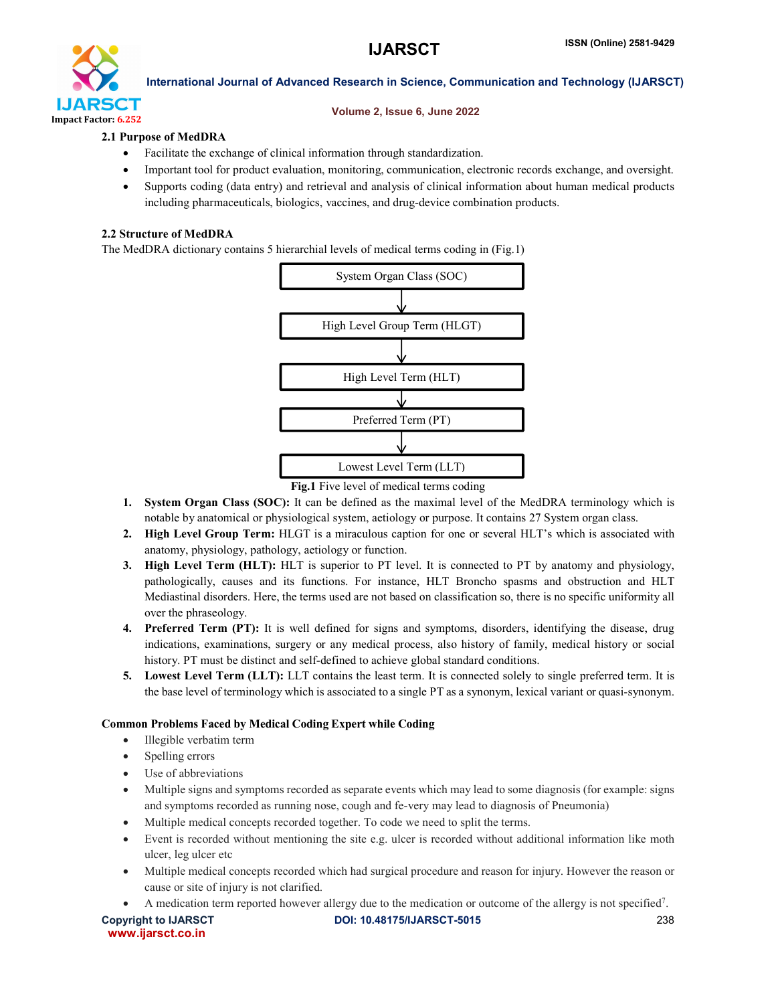

## Volume 2, Issue 6, June 2022

# 2.1 Purpose of MedDRA

- Facilitate the exchange of clinical information through standardization.
- Important tool for product evaluation, monitoring, communication, electronic records exchange, and oversight.
- Supports coding (data entry) and retrieval and analysis of clinical information about human medical products including pharmaceuticals, biologics, vaccines, and drug-device combination products.

# 2.2 Structure of MedDRA

The MedDRA dictionary contains 5 hierarchial levels of medical terms coding in (Fig.1)



Fig.1 Five level of medical terms coding

- 1. System Organ Class (SOC): It can be defined as the maximal level of the MedDRA terminology which is notable by anatomical or physiological system, aetiology or purpose. It contains 27 System organ class.
- 2. High Level Group Term: HLGT is a miraculous caption for one or several HLT's which is associated with anatomy, physiology, pathology, aetiology or function.
- 3. High Level Term (HLT): HLT is superior to PT level. It is connected to PT by anatomy and physiology, pathologically, causes and its functions. For instance, HLT Broncho spasms and obstruction and HLT Mediastinal disorders. Here, the terms used are not based on classification so, there is no specific uniformity all over the phraseology.
- 4. Preferred Term (PT): It is well defined for signs and symptoms, disorders, identifying the disease, drug indications, examinations, surgery or any medical process, also history of family, medical history or social history. PT must be distinct and self-defined to achieve global standard conditions.
- 5. Lowest Level Term (LLT): LLT contains the least term. It is connected solely to single preferred term. It is the base level of terminology which is associated to a single PT as a synonym, lexical variant or quasi-synonym.

# Common Problems Faced by Medical Coding Expert while Coding

- Illegible verbatim term
- Spelling errors
- Use of abbreviations
- Multiple signs and symptoms recorded as separate events which may lead to some diagnosis (for example: signs and symptoms recorded as running nose, cough and fe-very may lead to diagnosis of Pneumonia)
- Multiple medical concepts recorded together. To code we need to split the terms.
- Event is recorded without mentioning the site e.g. ulcer is recorded without additional information like moth ulcer, leg ulcer etc
- Multiple medical concepts recorded which had surgical procedure and reason for injury. However the reason or cause or site of injury is not clarified.
- A medication term reported however allergy due to the medication or outcome of the allergy is not specified<sup>7</sup>.

www.ijarsct.co.in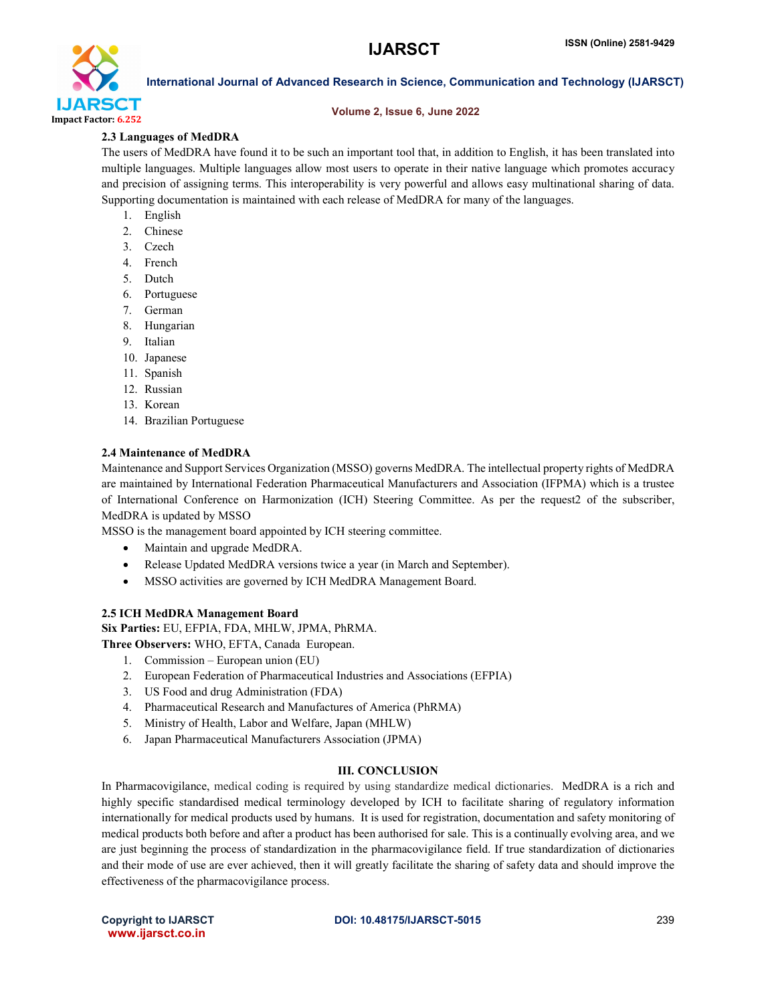

### Volume 2, Issue 6, June 2022

# 2.3 Languages of MedDRA

The users of MedDRA have found it to be such an important tool that, in addition to English, it has been translated into multiple languages. Multiple languages allow most users to operate in their native language which promotes accuracy and precision of assigning terms. This interoperability is very powerful and allows easy multinational sharing of data. Supporting documentation is maintained with each release of MedDRA for many of the languages.

- 1. English
- 2. Chinese
- 3. Czech
- 4. French
- 5. Dutch
- 6. Portuguese
- 7. German
- 8. Hungarian
- 9. Italian
- 10. Japanese
- 11. Spanish
- 12. Russian
- 13. Korean
- 14. Brazilian Portuguese

## 2.4 Maintenance of MedDRA

Maintenance and Support Services Organization (MSSO) governs MedDRA. The intellectual property rights of MedDRA are maintained by International Federation Pharmaceutical Manufacturers and Association (IFPMA) which is a trustee of International Conference on Harmonization (ICH) Steering Committee. As per the request2 of the subscriber, MedDRA is updated by MSSO

MSSO is the management board appointed by ICH steering committee.

- Maintain and upgrade MedDRA.
- Release Updated MedDRA versions twice a year (in March and September).
- MSSO activities are governed by ICH MedDRA Management Board.

# 2.5 ICH MedDRA Management Board

Six Parties: EU, EFPIA, FDA, MHLW, JPMA, PhRMA.

- Three Observers: WHO, EFTA, Canada European.
	- 1. Commission European union (EU)
	- 2. European Federation of Pharmaceutical Industries and Associations (EFPIA)
	- 3. US Food and drug Administration (FDA)
	- 4. Pharmaceutical Research and Manufactures of America (PhRMA)
	- 5. Ministry of Health, Labor and Welfare, Japan (MHLW)
	- 6. Japan Pharmaceutical Manufacturers Association (JPMA)

### III. CONCLUSION

In Pharmacovigilance, medical coding is required by using standardize medical dictionaries. MedDRA is a rich and highly specific standardised medical terminology developed by ICH to facilitate sharing of regulatory information internationally for medical products used by humans. It is used for registration, documentation and safety monitoring of medical products both before and after a product has been authorised for sale. This is a continually evolving area, and we are just beginning the process of standardization in the pharmacovigilance field. If true standardization of dictionaries and their mode of use are ever achieved, then it will greatly facilitate the sharing of safety data and should improve the effectiveness of the pharmacovigilance process.